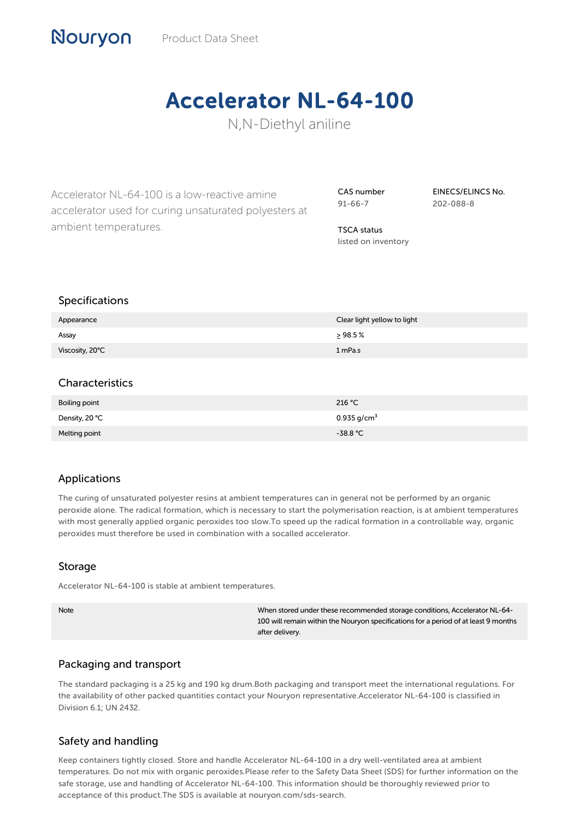# Accelerator NL-64-100

N,N-Diethyl aniline

Accelerator NL-64-100 is a low-reactive amine accelerator used for curing unsaturated polyesters at ambient temperatures.

CAS number 91-66-7

EINECS/ELINCS No. 202-088-8

TSCA status listed on inventory

#### Specifications

Nouryon

| Appearance      | Clear light yellow to light |
|-----------------|-----------------------------|
| Assay           | $\geq$ 98.5 %               |
| Viscosity, 20°C | 1 mPa.s                     |

#### **Characteristics**

| Boiling point  | 216 °C                    |
|----------------|---------------------------|
| Density, 20 °C | $0.935$ g/cm <sup>3</sup> |
| Melting point  | $-38.8 °C$                |

#### Applications

The curing of unsaturated polyester resins at ambient temperatures can in general not be performed by an organic peroxide alone. The radical formation, which is necessary to start the polymerisation reaction, is at ambient temperatures with most generally applied organic peroxides too slow.To speed up the radical formation in a controllable way, organic peroxides must therefore be used in combination with a socalled accelerator.

#### Storage

Accelerator NL-64-100 is stable at ambient temperatures.

Note When stored under these recommended storage conditions, Accelerator NL-64- 100 will remain within the Nouryon specifications for a period of at least 9 months after delivery.

#### Packaging and transport

The standard packaging is a 25 kg and 190 kg drum.Both packaging and transport meet the international regulations. For the availability of other packed quantities contact your Nouryon representative.Accelerator NL-64-100 is classified in Division 6.1; UN 2432.

### Safety and handling

Keep containers tightly closed. Store and handle Accelerator NL-64-100 in a dry well-ventilated area at ambient temperatures. Do not mix with organic peroxides.Please refer to the Safety Data Sheet (SDS) for further information on the safe storage, use and handling of Accelerator NL-64-100. This information should be thoroughly reviewed prior to acceptance of this product.The SDS is available at nouryon.com/sds-search.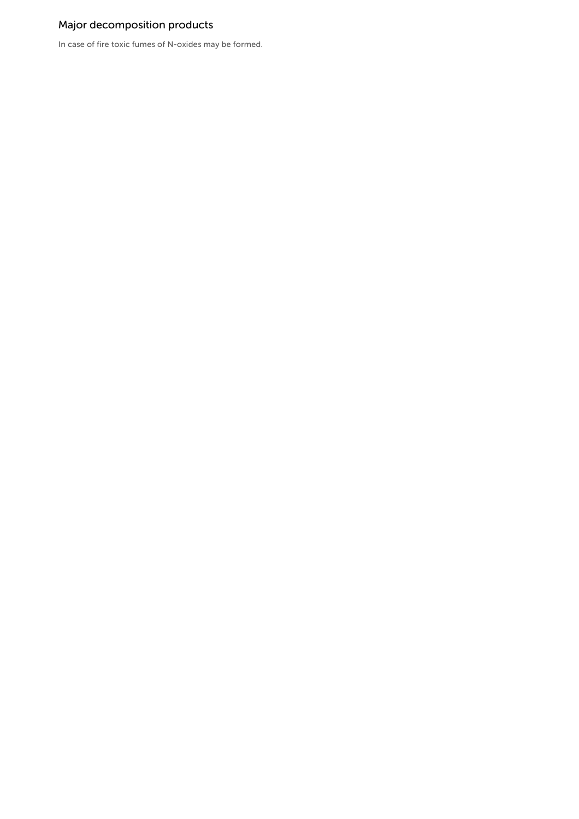## Major decomposition products

In case of fire toxic fumes of N-oxides may be formed.